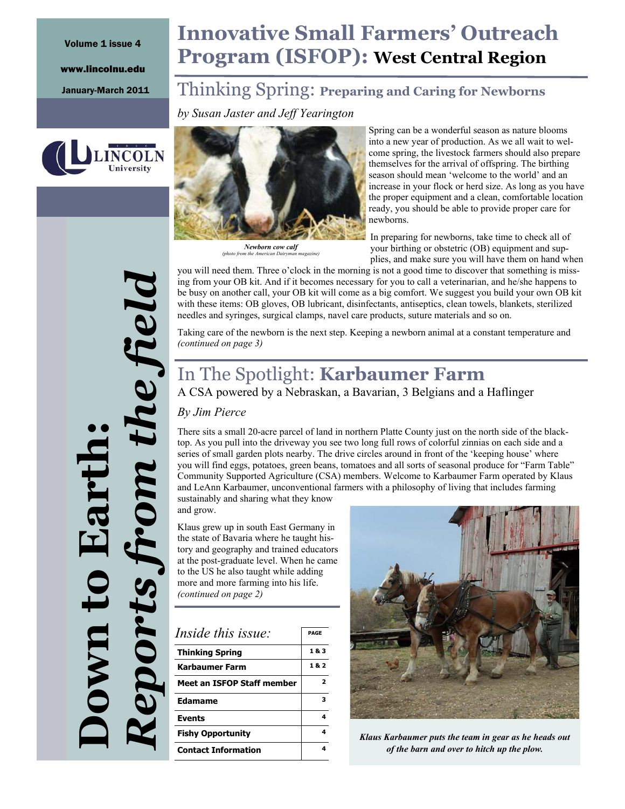#### www.lincolnu.edu

January-March 2011



# *Reports from the field*  eports from the field **Down to Earth:**  Earth **DWD**

## **Innovative Small Farmers' Outreach Program (ISFOP): West Central Region**

### Thinking Spring: **Preparing and Caring for Newborns**

*by Susan Jaster and Jeff Yearington* 



*Newborn cow calf (photo from the American Dairyman magazine)* 

Spring can be a wonderful season as nature blooms into a new year of production. As we all wait to welcome spring, the livestock farmers should also prepare themselves for the arrival of offspring. The birthing season should mean 'welcome to the world' and an increase in your flock or herd size. As long as you have the proper equipment and a clean, comfortable location ready, you should be able to provide proper care for newborns.

In preparing for newborns, take time to check all of your birthing or obstetric (OB) equipment and supplies, and make sure you will have them on hand when

you will need them. Three o'clock in the morning is not a good time to discover that something is missing from your OB kit. And if it becomes necessary for you to call a veterinarian, and he/she happens to be busy on another call, your OB kit will come as a big comfort. We suggest you build your own OB kit with these items: OB gloves, OB lubricant, disinfectants, antiseptics, clean towels, blankets, sterilized needles and syringes, surgical clamps, navel care products, suture materials and so on.

Taking care of the newborn is the next step. Keeping a newborn animal at a constant temperature and *(continued on page 3)* 

## In The Spotlight: **Karbaumer Farm**

A CSA powered by a Nebraskan, a Bavarian, 3 Belgians and a Haflinger

#### *By Jim Pierce*

There sits a small 20-acre parcel of land in northern Platte County just on the north side of the blacktop. As you pull into the driveway you see two long full rows of colorful zinnias on each side and a series of small garden plots nearby. The drive circles around in front of the 'keeping house' where you will find eggs, potatoes, green beans, tomatoes and all sorts of seasonal produce for "Farm Table" Community Supported Agriculture (CSA) members. Welcome to Karbaumer Farm operated by Klaus and LeAnn Karbaumer, unconventional farmers with a philosophy of living that includes farming sustainably and sharing what they know

and grow.

Klaus grew up in south East Germany in the state of Bavaria where he taught history and geography and trained educators at the post-graduate level. When he came to the US he also taught while adding more and more farming into his life. *(continued on page 2)* 

| <b>Thinking Spring</b>     | 183 |
|----------------------------|-----|
| Karbaumer Farm             | 182 |
| Meet an ISFOP Staff member | Σ.  |
| Edamame                    | ٦   |
| Events                     |     |
| <b>Fishy Opportunity</b>   |     |
| <b>Contact Information</b> |     |
|                            |     |



*Klaus Karbaumer puts the team in gear as he heads out of the barn and over to hitch up the plow.*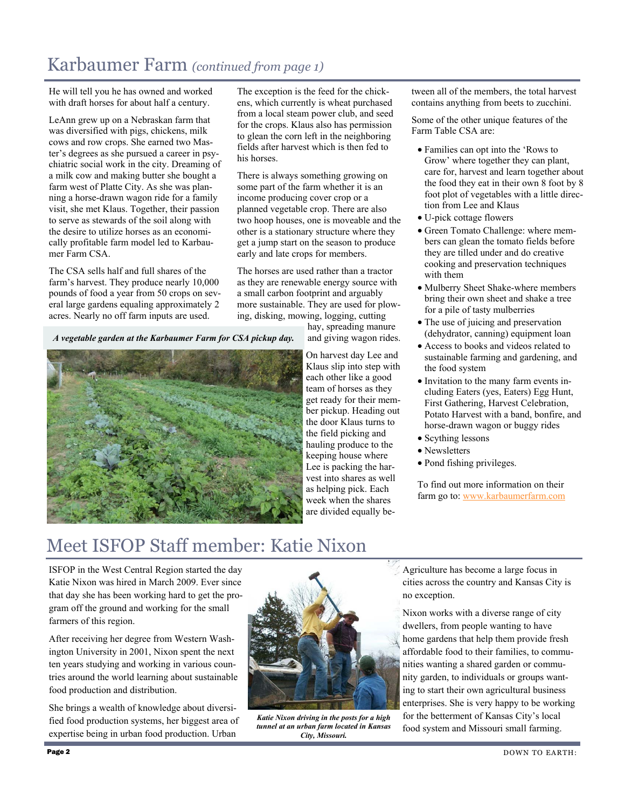## Karbaumer Farm *(continued from page 1)*

He will tell you he has owned and worked with draft horses for about half a century.

LeAnn grew up on a Nebraskan farm that was diversified with pigs, chickens, milk cows and row crops. She earned two Master's degrees as she pursued a career in psychiatric social work in the city. Dreaming of a milk cow and making butter she bought a farm west of Platte City. As she was planning a horse-drawn wagon ride for a family visit, she met Klaus. Together, their passion to serve as stewards of the soil along with the desire to utilize horses as an economically profitable farm model led to Karbaumer Farm CSA.

The CSA sells half and full shares of the farm's harvest. They produce nearly 10,000 pounds of food a year from 50 crops on several large gardens equaling approximately 2 acres. Nearly no off farm inputs are used.

*A vegetable garden at the Karbaumer Farm for CSA pickup day.* 

The exception is the feed for the chickens, which currently is wheat purchased from a local steam power club, and seed for the crops. Klaus also has permission to glean the corn left in the neighboring fields after harvest which is then fed to his horses.

There is always something growing on some part of the farm whether it is an income producing cover crop or a planned vegetable crop. There are also two hoop houses, one is moveable and the other is a stationary structure where they get a jump start on the season to produce early and late crops for members.

The horses are used rather than a tractor as they are renewable energy source with a small carbon footprint and arguably more sustainable. They are used for plowing, disking, mowing, logging, cutting

hay, spreading manure and giving wagon rides.

On harvest day Lee and Klaus slip into step with each other like a good team of horses as they get ready for their member pickup. Heading out the door Klaus turns to the field picking and hauling produce to the keeping house where Lee is packing the harvest into shares as well as helping pick. Each week when the shares are divided equally be-

tween all of the members, the total harvest contains anything from beets to zucchini.

Some of the other unique features of the Farm Table CSA are:

- Families can opt into the 'Rows to Grow' where together they can plant, care for, harvest and learn together about the food they eat in their own 8 foot by 8 foot plot of vegetables with a little direction from Lee and Klaus
- U-pick cottage flowers
- Green Tomato Challenge: where members can glean the tomato fields before they are tilled under and do creative cooking and preservation techniques with them
- Mulberry Sheet Shake-where members bring their own sheet and shake a tree for a pile of tasty mulberries
- The use of juicing and preservation (dehydrator, canning) equipment loan
- Access to books and videos related to sustainable farming and gardening, and the food system
- Invitation to the many farm events including Eaters (yes, Eaters) Egg Hunt, First Gathering, Harvest Celebration, Potato Harvest with a band, bonfire, and horse-drawn wagon or buggy rides
- Scything lessons
- $\bullet$  Newsletters
- Pond fishing privileges.

To find out more information on their farm go to: www.karbaumerfarm.com

## Meet ISFOP Staff member: Katie Nixon

ISFOP in the West Central Region started the day Katie Nixon was hired in March 2009. Ever since that day she has been working hard to get the program off the ground and working for the small farmers of this region.

After receiving her degree from Western Washington University in 2001, Nixon spent the next ten years studying and working in various countries around the world learning about sustainable food production and distribution.

She brings a wealth of knowledge about diversified food production systems, her biggest area of expertise being in urban food production. Urban



*Katie Nixon driving in the posts for a high tunnel at an urban farm located in Kansas City, Missouri.* 

Agriculture has become a large focus in cities across the country and Kansas City is no exception.

Nixon works with a diverse range of city dwellers, from people wanting to have home gardens that help them provide fresh affordable food to their families, to communities wanting a shared garden or community garden, to individuals or groups wanting to start their own agricultural business enterprises. She is very happy to be working for the betterment of Kansas City's local food system and Missouri small farming.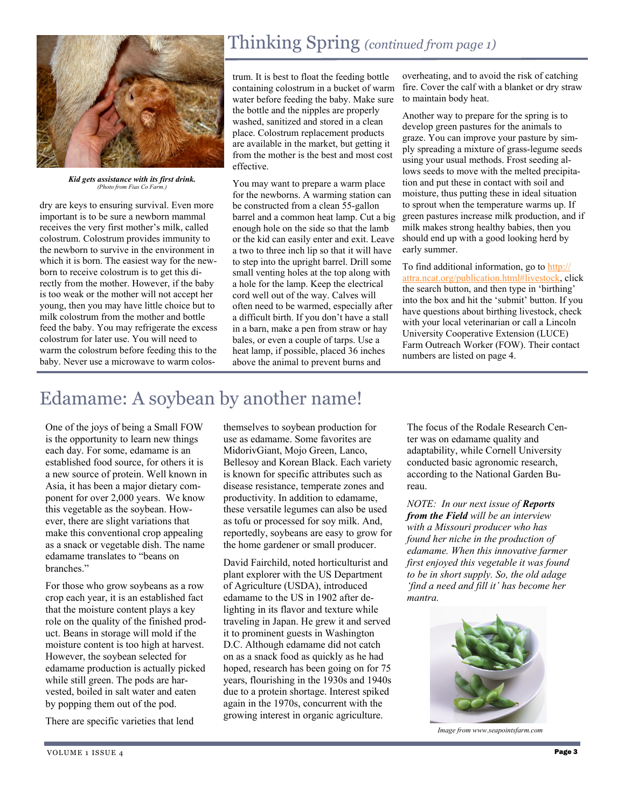

*Kid gets assistance with its first drink. (Photo from Fias Co Farm.)* 

dry are keys to ensuring survival. Even more important is to be sure a newborn mammal receives the very first mother's milk, called colostrum. Colostrum provides immunity to the newborn to survive in the environment in which it is born. The easiest way for the newborn to receive colostrum is to get this directly from the mother. However, if the baby is too weak or the mother will not accept her young, then you may have little choice but to milk colostrum from the mother and bottle feed the baby. You may refrigerate the excess colostrum for later use. You will need to warm the colostrum before feeding this to the baby. Never use a microwave to warm colos-

## Thinking Spring *(continued from page 1)*

trum. It is best to float the feeding bottle containing colostrum in a bucket of warm water before feeding the baby. Make sure the bottle and the nipples are properly washed, sanitized and stored in a clean place. Colostrum replacement products are available in the market, but getting it from the mother is the best and most cost effective.

You may want to prepare a warm place for the newborns. A warming station can be constructed from a clean 55-gallon barrel and a common heat lamp. Cut a big enough hole on the side so that the lamb or the kid can easily enter and exit. Leave a two to three inch lip so that it will have to step into the upright barrel. Drill some small venting holes at the top along with a hole for the lamp. Keep the electrical cord well out of the way. Calves will often need to be warmed, especially after a difficult birth. If you don't have a stall in a barn, make a pen from straw or hay bales, or even a couple of tarps. Use a heat lamp, if possible, placed 36 inches above the animal to prevent burns and

overheating, and to avoid the risk of catching fire. Cover the calf with a blanket or dry straw to maintain body heat.

Another way to prepare for the spring is to develop green pastures for the animals to graze. You can improve your pasture by simply spreading a mixture of grass-legume seeds using your usual methods. Frost seeding allows seeds to move with the melted precipitation and put these in contact with soil and moisture, thus putting these in ideal situation to sprout when the temperature warms up. If green pastures increase milk production, and if milk makes strong healthy babies, then you should end up with a good looking herd by early summer.

To find additional information, go to http:// attra.ncat.org/publication.html#livestock, click the search button, and then type in 'birthing' into the box and hit the 'submit' button. If you have questions about birthing livestock, check with your local veterinarian or call a Lincoln University Cooperative Extension (LUCE) Farm Outreach Worker (FOW). Their contact numbers are listed on page 4.

## Edamame: A soybean by another name!

One of the joys of being a Small FOW is the opportunity to learn new things each day. For some, edamame is an established food source, for others it is a new source of protein. Well known in Asia, it has been a major dietary component for over 2,000 years. We know this vegetable as the soybean. However, there are slight variations that make this conventional crop appealing as a snack or vegetable dish. The name edamame translates to "beans on branches."

For those who grow soybeans as a row crop each year, it is an established fact that the moisture content plays a key role on the quality of the finished product. Beans in storage will mold if the moisture content is too high at harvest. However, the soybean selected for edamame production is actually picked while still green. The pods are harvested, boiled in salt water and eaten by popping them out of the pod.

There are specific varieties that lend

themselves to soybean production for use as edamame. Some favorites are MidorivGiant, Mojo Green, Lanco, Bellesoy and Korean Black. Each variety is known for specific attributes such as disease resistance, temperate zones and productivity. In addition to edamame, these versatile legumes can also be used as tofu or processed for soy milk. And, reportedly, soybeans are easy to grow for the home gardener or small producer.

David Fairchild, noted horticulturist and plant explorer with the US Department of Agriculture (USDA), introduced edamame to the US in 1902 after delighting in its flavor and texture while traveling in Japan. He grew it and served it to prominent guests in Washington D.C. Although edamame did not catch on as a snack food as quickly as he had hoped, research has been going on for 75 years, flourishing in the 1930s and 1940s due to a protein shortage. Interest spiked again in the 1970s, concurrent with the growing interest in organic agriculture.

The focus of the Rodale Research Center was on edamame quality and adaptability, while Cornell University conducted basic agronomic research, according to the National Garden Bureau.

*NOTE: In our next issue of Reports from the Field will be an interview with a Missouri producer who has found her niche in the production of edamame. When this innovative farmer first enjoyed this vegetable it was found to be in short supply. So, the old adage 'find a need and fill it' has become her mantra.* 



*Image from www.seapointsfarm.com*